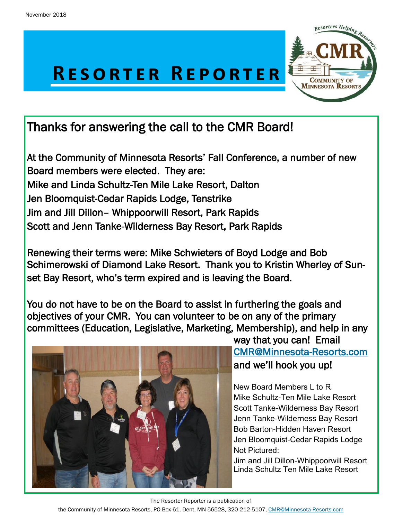



# Thanks for answering the call to the CMR Board!

At the Community of Minnesota Resorts' Fall Conference, a number of new Board members were elected. They are: Mike and Linda Schultz-Ten Mile Lake Resort, Dalton Jen Bloomquist-Cedar Rapids Lodge, Tenstrike Jim and Jill Dillon– Whippoorwill Resort, Park Rapids Scott and Jenn Tanke-Wilderness Bay Resort, Park Rapids

Renewing their terms were: Mike Schwieters of Boyd Lodge and Bob Schimerowski of Diamond Lake Resort. Thank you to Kristin Wherley of Sunset Bay Resort, who's term expired and is leaving the Board.

You do not have to be on the Board to assist in furthering the goals and objectives of your CMR. You can volunteer to be on any of the primary committees (Education, Legislative, Marketing, Membership), and help in any



way that you can! Email [CMR@Minnesota-Resorts.com](mailto:CMR@Minnesota-Resorts.com?subject=Committees)  and we'll hook you up!

New Board Members L to R Mike Schultz-Ten Mile Lake Resort Scott Tanke-Wilderness Bay Resort Jenn Tanke-Wilderness Bay Resort Bob Barton-Hidden Haven Resort Jen Bloomquist-Cedar Rapids Lodge Not Pictured:

Jim and Jill Dillon-Whippoorwill Resort Linda Schultz Ten Mile Lake Resort

The Resorter Reporter is a publication of

the Community of Minnesota Resorts, PO Box 61, Dent, MN 56528, 320-212-5107, [CMR@Minnesota-Resorts.com](mailto:CMR@Minnesota-Resorts.com?subject=Community%20of%20Minnesota%20Resorts)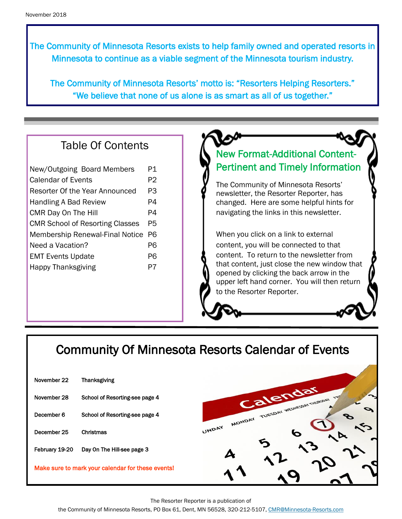The Community of Minnesota Resorts exists to help family owned and operated resorts in Minnesota to continue as a viable segment of the Minnesota tourism industry.

The Community of Minnesota Resorts' motto is: "Resorters Helping Resorters." "We believe that none of us alone is as smart as all of us together."

#### Table Of Contents

| New/Outgoing Board Members             | P1 |
|----------------------------------------|----|
| Calendar of Events                     | P2 |
| Resorter Of the Year Announced         | PЗ |
| Handling A Bad Review                  | P4 |
| CMR Day On The Hill                    | P4 |
| <b>CMR School of Resorting Classes</b> | P5 |
| <b>Membership Renewal-Final Notice</b> | Р6 |
| Need a Vacation?                       | P6 |
| <b>EMT Events Update</b>               | P6 |
| <b>Happy Thanksgiving</b>              | P7 |
|                                        |    |

#### New Format-Additional Content-Pertinent and Timely Information

The Community of Minnesota Resorts' newsletter, the Resorter Reporter, has changed. Here are some helpful hints for navigating the links in this newsletter.

When you click on a link to external content, you will be connected to that content. To return to the newsletter from that content, just close the new window that opened by clicking the back arrow in the upper left hand corner. You will then return to the Resorter Reporter.

## Community Of Minnesota Resorts Calendar of Events

| November 22    | <b>Thanksgiving</b>                               |                                       |
|----------------|---------------------------------------------------|---------------------------------------|
| November 28    | School of Resorting-see page 4                    | Calendar                              |
| December 6     | School of Resorting-see page 4                    | MONDAY TUESDAY WEDNESDAY THURSDAY TAY |
| December 25    | Christmas                                         | UNDAY                                 |
| February 19-20 | Day On The Hill-see page 3                        |                                       |
|                | Make sure to mark your calendar for these events! |                                       |

The Resorter Reporter is a publication of

the Community of Minnesota Resorts, PO Box 61, Dent, MN 56528, 320-212-5107, [CMR@Minnesota-Resorts.com](mailto:CMR@Minnesota-Resorts.com?subject=Community%20of%20Minnesota%20Resorts)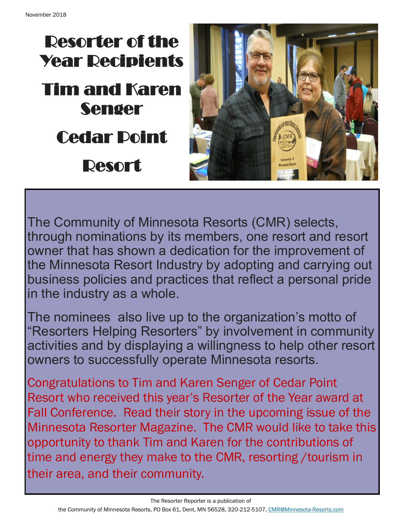



The Community of Minnesota Resorts (CMR) selects, through nominations by its members, one resort and resort owner that has shown a dedication for the improvement of the Minnesota Resort Industry by adopting and carrying out business policies and practices that reflect a personal pride in the industry as a whole.

The nominees also live up to the organization's motto of "Resorters Helping Resorters" by involvement in community activities and by displaying a willingness to help other resort owners to successfully operate Minnesota resorts.

Congratulations to Tim and Karen Senger of Cedar Point Resort who received this year's Resorter of the Year award at Fall Conference. Read their story in the upcoming issue of the Minnesota Resorter Magazine. The CMR would like to take this opportunity to thank Tim and Karen for the contributions of time and energy they make to the CMR, resorting /tourism in their area, and their community.

The Resorter Reporter is a publication of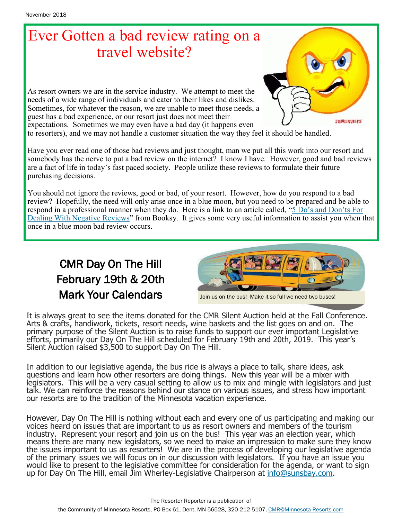# Ever Gotten a bad review rating on a travel website?

As resort owners we are in the service industry. We attempt to meet the needs of a wide range of individuals and cater to their likes and dislikes. Sometimes, for whatever the reason, we are unable to meet those needs, a guest has a bad experience, or our resort just does not meet their expectations. Sometimes we may even have a bad day (it happens even to resorters), and we may not handle a customer situation the way they feel it should be handled.

Have you ever read one of those bad reviews and just thought, man we put all this work into our resort and somebody has the nerve to put a bad review on the internet? I know I have. However, good and bad reviews are a fact of life in today's fast paced society. People utilize these reviews to formulate their future purchasing decisions.

You should not ignore the reviews, good or bad, of your resort. However, how do you respond to a bad review? Hopefully, the need will only arise once in a blue moon, but you need to be prepared and be able to respond in a professional manner when they do. Here is a link to an article called, "[5 Do's and Don'ts For](https://booksy.com/blog/us/dealing-with-negative-reviews/)  [Dealing With Negative Reviews"](https://booksy.com/blog/us/dealing-with-negative-reviews/) from Booksy. It gives some very useful information to assist you when that once in a blue moon bad review occurs.

### CMR Day On The Hill February 19th & 20th Mark Your Calendars



Join us on the bus! Make it so full we need two buses!

It is always great to see the items donated for the CMR Silent Auction held at the Fall Conference. Arts & crafts, handiwork, tickets, resort needs, wine baskets and the list goes on and on. The primary purpose of the Silent Auction is to raise funds to support our ever important Legislative efforts, primarily our Day On The Hill scheduled for February 19th and 20th, 2019. This year's Silent Auction raised \$3,500 to support Day On The Hill.

In addition to our legislative agenda, the bus ride is always a place to talk, share ideas, ask questions and learn how other resorters are doing things. New this year will be a mixer with legislators. This will be a very casual setting to allow us to mix and mingle with legislators and just talk. We can reinforce the reasons behind our stance on various issues, and stress how important our resorts are to the tradition of the Minnesota vacation experience.

However, Day On The Hill is nothing without each and every one of us participating and making our voices heard on issues that are important to us as resort owners and members of the tourism industry. Represent your resort and join us on the bus! This year was an election year, which means there are many new legislators, so we need to make an impression to make sure they know the issues important to us as resorters! We are in the process of developing our legislative agenda of the primary issues we will focus on in our discussion with legislators. If you have an issue you would like to present to the legislative committee for consideration for the agenda, or want to sign up for Day On The Hill, email Jim Wherley-Legislative Chairperson at [info@sunsbay.com.](mailto:info@sunsbay.com?subject=CMR%20Day%20On%20The%20Hill)

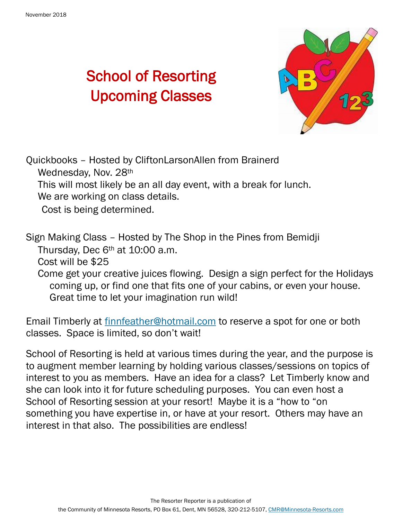# School of Resorting Upcoming Classes



Quickbooks – Hosted by CliftonLarsonAllen from Brainerd Wednesday, Nov. 28th This will most likely be an all day event, with a break for lunch. We are working on class details. Cost is being determined.

Sign Making Class – Hosted by The Shop in the Pines from Bemidji Thursday, Dec 6th at 10:00 a.m.

Cost will be \$25

Come get your creative juices flowing. Design a sign perfect for the Holidays coming up, or find one that fits one of your cabins, or even your house. Great time to let your imagination run wild!

Email Timberly at **[finnfeather@hotmail.com](mailto:finnfeather@hotmail.com)** to reserve a spot for one or both classes. Space is limited, so don't wait!

School of Resorting is held at various times during the year, and the purpose is to augment member learning by holding various classes/sessions on topics of interest to you as members. Have an idea for a class? Let Timberly know and she can look into it for future scheduling purposes. You can even host a School of Resorting session at your resort! Maybe it is a "how to "on something you have expertise in, or have at your resort. Others may have an interest in that also. The possibilities are endless!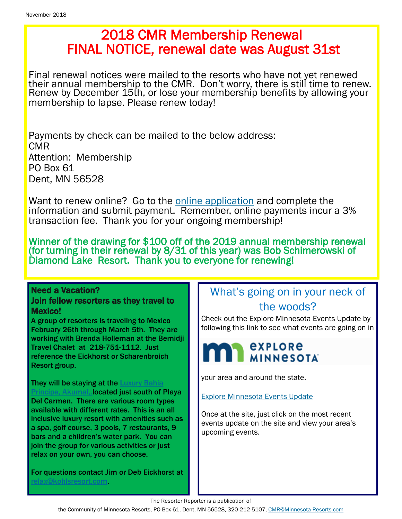## 2018 CMR Membership Renewal FINAL NOTICE, renewal date was August 31st

Final renewal notices were mailed to the resorts who have not yet renewed their annual membership to the CMR. Don't worry, there is still time to renew. Renew by December 15th, or lose your membership benefits by allowing your membership to lapse. Please renew today!

Payments by check can be mailed to the below address: CMR Attention: Membership PO Box 61 Dent, MN 56528

Want to renew online? Go to the **online application** and complete the information and submit payment. Remember, online payments incur a 3% transaction fee. Thank you for your ongoing membership!

Winner of the drawing for \$100 off of the 2019 annual membership renewal (for turning in their renewal by 8/31 of this year) was Bob Schimerowski of Diamond Lake Resort. Thank you to everyone for renewing!

#### Need a Vacation? Join fellow resorters as they travel to

Resort group.

Mexico! A group of resorters is traveling to Mexico February 26th through March 5th. They are working with Brenda Holleman at the Bemidji Travel Chalet at 218-751-1112. Just reference the Eickhorst or Scharenbroich

They will be staying at the Luxury Bahia Principe, Akumal, **located just south of Playa** Del Carmen. There are various room types available with different rates. This is an all inclusive luxury resort with amenities such as a spa, golf course, 3 pools, 7 restaurants, 9 bars and a children's water park. You can join the group for various activities or just relax on your own, you can choose.

For questions contact Jim or Deb Eickhorst at elax@kohlsresort.com.

#### What's going on in your neck of the woods?

Check out the Explore Minnesota Events Update by following this link to see what events are going on in



your area and around the state.

[Explore Minnesota Events Update](http://www.exploreminnesota.com/newsletter-sign-up/reports/events-report/)

Once at the site, just click on the most recent events update on the site and view your area's upcoming events.

The Resorter Reporter is a publication of

the Community of Minnesota Resorts, PO Box 61, Dent, MN 56528, 320-212-5107, [CMR@Minnesota-Resorts.com](mailto:CMR@Minnesota-Resorts.com?subject=Community%20of%20Minnesota%20Resorts)